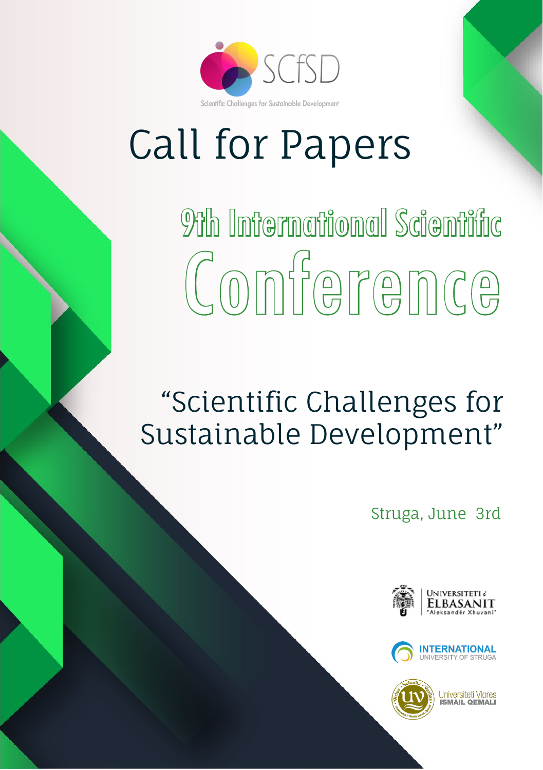

# Call for Papers

9th International Scientific Conference

# "Scientific Challenges for Sustainable Development"

Struga, June 3rd





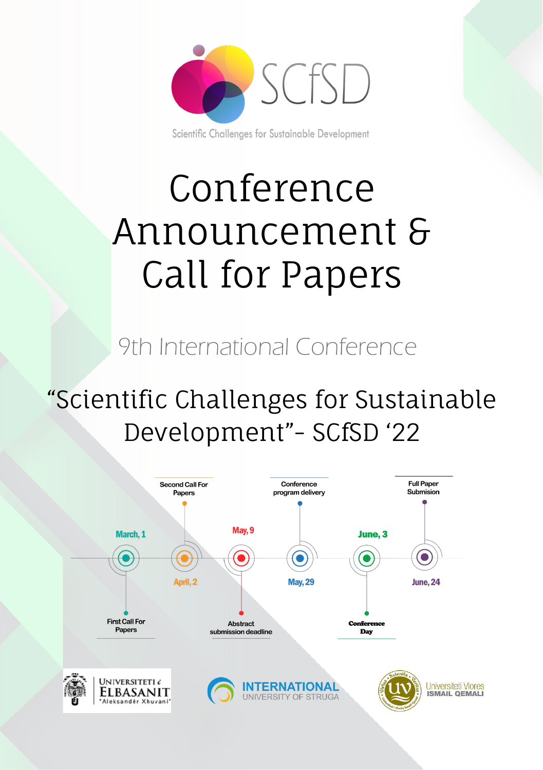

Scientific Challenges for Sustainable Development

# Conference Announcement & Call for Papers

9th International Conference

# "Scientific Challenges for Sustainable Development"- SCfSD '22

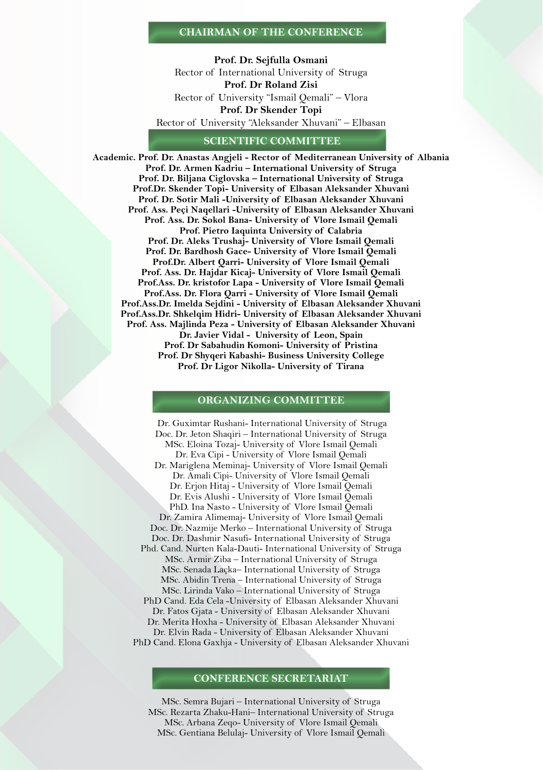#### **CHAIRMAN OF THE CONFERENCE**

**Prof. Dr. Sejfulla Osmani** Rector of International University of Struga **Prof. Dr Roland Zisi** Rector of University "Ismail Qemali" – Vlora **Prof. Dr Skender Topi**  Rector of University "Aleksander Xhuvani" – Elbasan

#### **SCIENTIFIC COMMITTEE**

**Academic. Prof. Dr. Anastas Angjeli - Rector of Mediterranean University of Albania Prof. Dr. Armen Kadriu – International University of Struga Prof. Dr. Biljana Ciglovska – International University of Struga Prof.Dr. Skender Topi- University of Elbasan Aleksander Xhuvani Prof. Dr. Sotir Mali -University of Elbasan Aleksander Xhuvani Prof. Ass. Peçi Naqellari -University of Elbasan Aleksander Xhuvani Prof. Ass. Dr. Sokol Bana- University of Vlore Ismail Qemali Prof. Pietro Iaquinta University of Calabria Prof. Dr. Aleks Trushaj- University of Vlore Ismail Qemali Prof. Dr. Bardhosh Gace- University of Vlore Ismail Qemali Prof.Dr. Albert Qarri- University of Vlore Ismail Qemali Prof. Ass. Dr. Hajdar Kicaj- University of Vlore Ismail Qemali Prof.Ass. Dr. kristofor Lapa - University of Vlore Ismail Qemali Prof.Ass. Dr. Flora Qarri - University of Vlore Ismail Qemali Prof.Ass.Dr. Imelda Sejdini - University of Elbasan Aleksander Xhuvani Prof.Ass.Dr. Shkelqim Hidri- University of Elbasan Aleksander Xhuvani Prof. Ass. Majlinda Peza - University of Elbasan Aleksander Xhuvani Dr. Javier Vidal - University of Leon, Spain Prof. Dr Sabahudin Komoni- University of Pristina**

**Prof. Dr Shyqeri Kabashi- Business University College Prof. Dr Ligor Nikolla- University of Tirana**

#### **ORGANIZING COMMITTEE**

 Dr. Guximtar Rushani- International University of Struga Doc. Dr. Jeton Shaqiri – International University of Struga MSc. Eloina Tozaj- University of Vlore Ismail Qemali Dr. Eva Cipi - University of Vlore Ismail Qemali Dr. Mariglena Meminaj- University of Vlore Ismail Qemali Dr. Amali Cipi- University of Vlore Ismail Qemali Dr. Erjon Hitaj - University of Vlore Ismail Qemali Dr. Evis Alushi - University of Vlore Ismail Qemali PhD. Ina Nasto - University of Vlore Ismail Qemali Dr. Zamira Alimemaj- University of Vlore Ismail Qemali Doc. Dr. Nazmije Merko – International University of Struga Doc. Dr. Dashmir Nasufi- International University of Struga Phd. Cand. Nurten Kala-Dauti- International University of Struga MSc. Armir Ziba – International University of Struga MSc. Senada Laçka– International University of Struga MSc. Abidin Trena – International University of Struga MSc. Lirinda Vako – International University of Struga PhD Cand. Eda Cela -University of Elbasan Aleksander Xhuvani Dr. Fatos Gjata - University of Elbasan Aleksander Xhuvani Dr. Merita Hoxha - University of Elbasan Aleksander Xhuvani Dr. Elvin Rada - University of Elbasan Aleksander Xhuvani PhD Cand. Elona Gaxhja - University of Elbasan Aleksander Xhuvani

#### **CONFERENCE SECRETARIAT**

MSc. Semra Bujari – International University of Struga MSc. Rezarta Zhaku-Hani– International University of Struga MSc. Arbana Zeqo- University of Vlore Ismail Qemali MSc. Gentiana Belulaj- University of Vlore Ismail Qemali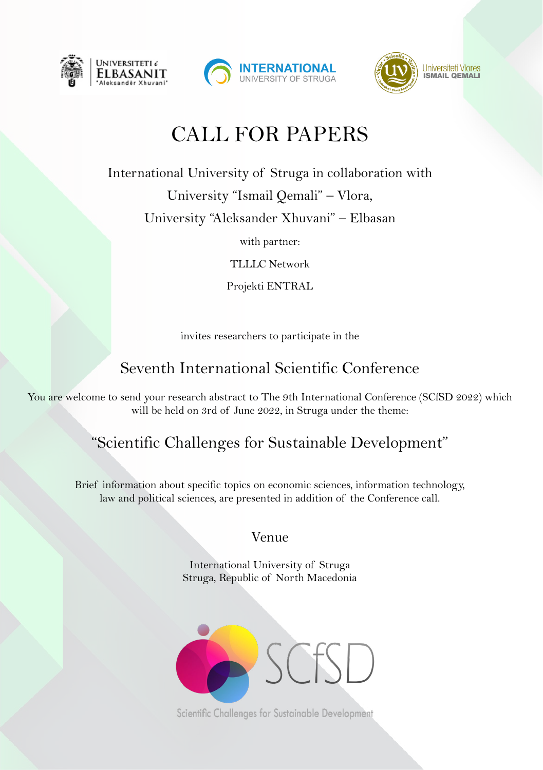





# CALL FOR PAPERS

International University of Struga in collaboration with

University "Ismail Qemali" – Vlora,

University "Aleksander Xhuvani" – Elbasan

with partner:

TLLLC Network

Projekti ENTRAL

invites researchers to participate in the

# Seventh International Scientific Conference

You are welcome to send your research abstract to The 9th International Conference (SCfSD 2022) which will be held on 3rd of June 2022, in Struga under the theme:

# "Scientific Challenges for Sustainable Development"

Brief information about specific topics on economic sciences, information technology, law and political sciences, are presented in addition of the Conference call.

# Venue

International University of Struga Struga, Republic of North Macedonia



Scientific Challenges for Sustainable Development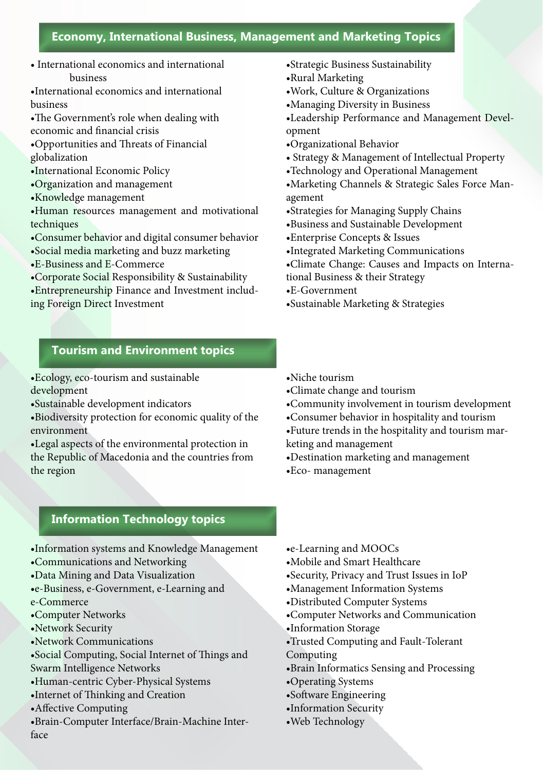# **Economy, International Business, Management and Marketing Topics**

• International economics and international business

•International economics and international business

- •The Government's role when dealing with economic and financial crisis
- •Opportunities and Threats of Financial globalization
- •International Economic Policy
- •Organization and management
- •Knowledge management
- •Human resources management and motivational techniques
- •Consumer behavior and digital consumer behavior
- •Social media marketing and buzz marketing
- •E-Business and E-Commerce
- •Corporate Social Responsibility & Sustainability

•Entrepreneurship Finance and Investment including Foreign Direct Investment

- •Strategic Business Sustainability
- •Rural Marketing
- •Work, Culture & Organizations
- •Managing Diversity in Business
- •Leadership Performance and Management Development
- •Organizational Behavior
- Strategy & Management of Intellectual Property
- •Technology and Operational Management
- •Marketing Channels & Strategic Sales Force Management
- •Strategies for Managing Supply Chains
- •Business and Sustainable Development
- •Enterprise Concepts & Issues
- •Integrated Marketing Communications
- •Climate Change: Causes and Impacts on Interna-
- tional Business & their Strategy
- •E-Government
- •Sustainable Marketing & Strategies

## **Tourism and Environment topics**

•Ecology, eco-tourism and sustainable development

•Sustainable development indicators

•Biodiversity protection for economic quality of the environment

•Legal aspects of the environmental protection in the Republic of Macedonia and the countries from the region

- •Niche tourism
- •Climate change and tourism
- •Community involvement in tourism development
- •Consumer behavior in hospitality and tourism
- •Future trends in the hospitality and tourism marketing and management
- •Destination marketing and management
- •Eco- management

# **Information Technology topics**

- •Information systems and Knowledge Management
- •Communications and Networking
- •Data Mining and Data Visualization
- •e-Business, e-Government, e-Learning and e-Commerce
- •Computer Networks
- •Network Security
- •Network Communications
- •Social Computing, Social Internet of Things and Swarm Intelligence Networks
- •Human-centric Cyber-Physical Systems
- •Internet of Thinking and Creation
- •Affective Computing
- •Brain-Computer Interface/Brain-Machine Interface
- •e-Learning and MOOCs
- •Mobile and Smart Healthcare
- •Security, Privacy and Trust Issues in IoP
- •Management Information Systems
- •Distributed Computer Systems
- •Computer Networks and Communication
- •Information Storage
- •Trusted Computing and Fault-Tolerant Computing
- •Brain Informatics Sensing and Processing
- •Operating Systems
- •Software Engineering
- •Information Security
- •Web Technology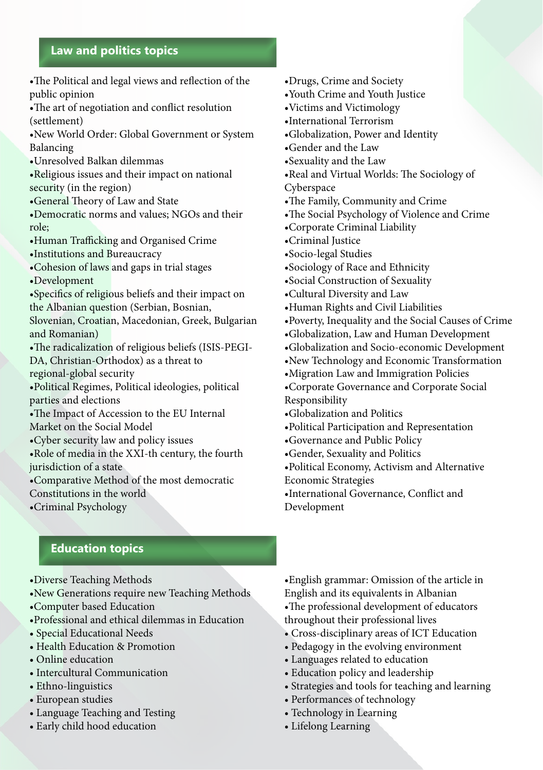# **Law and politics topics**

- •The Political and legal views and reflection of the public opinion
- •The art of negotiation and conflict resolution (settlement)
- •New World Order: Global Government or System Balancing
- •Unresolved Balkan dilemmas
- •Religious issues and their impact on national security (in the region)
- •General Theory of Law and State
- •Democratic norms and values; NGOs and their role;
- •Human Trafficking and Organised Crime
- •Institutions and Bureaucracy
- •Cohesion of laws and gaps in trial stages
- •Development
- •Specifics of religious beliefs and their impact on the Albanian question (Serbian, Bosnian,
- Slovenian, Croatian, Macedonian, Greek, Bulgarian and Romanian)
- •The radicalization of religious beliefs (ISIS-PEGI-DA, Christian-Orthodox) as a threat to regional-global security
- •Political Regimes, Political ideologies, political parties and elections
- •The Impact of Accession to the EU Internal Market on the Social Model
- •Cyber security law and policy issues
- •Role of media in the XXI-th century, the fourth jurisdiction of a state
- •Comparative Method of the most democratic
- Constitutions in the world
- •Criminal Psychology
- •Drugs, Crime and Society
- •Youth Crime and Youth Justice
- •Victims and Victimology
- •International Terrorism
- •Globalization, Power and Identity
- •Gender and the Law
- •Sexuality and the Law
- •Real and Virtual Worlds: The Sociology of Cyberspace
- •The Family, Community and Crime
- •The Social Psychology of Violence and Crime
- •Corporate Criminal Liability
- •Criminal Justice
- •Socio-legal Studies
- •Sociology of Race and Ethnicity
- •Social Construction of Sexuality
- •Cultural Diversity and Law
- •Human Rights and Civil Liabilities
- •Poverty, Inequality and the Social Causes of Crime
- •Globalization, Law and Human Development
- •Globalization and Socio-economic Development
- •New Technology and Economic Transformation
- •Migration Law and Immigration Policies
- •Corporate Governance and Corporate Social
- Responsibility
- •Globalization and Politics
- •Political Participation and Representation
- •Governance and Public Policy
- •Gender, Sexuality and Politics
- •Political Economy, Activism and Alternative

Economic Strategies

•International Governance, Conflict and Development

# **Education topics**

- •Diverse Teaching Methods
- •New Generations require new Teaching Methods
- •Computer based Education
- •Professional and ethical dilemmas in Education
- Special Educational Needs
- Health Education & Promotion
- Online education
- Intercultural Communication
- Ethno-linguistics
- European studies
- Language Teaching and Testing
- Early child hood education

•English grammar: Omission of the article in English and its equivalents in Albanian •The professional development of educators throughout their professional lives

- Cross-disciplinary areas of ICT Education
- Pedagogy in the evolving environment
- Languages related to education
- Education policy and leadership
- Strategies and tools for teaching and learning
- Performances of technology
- Technology in Learning
- Lifelong Learning